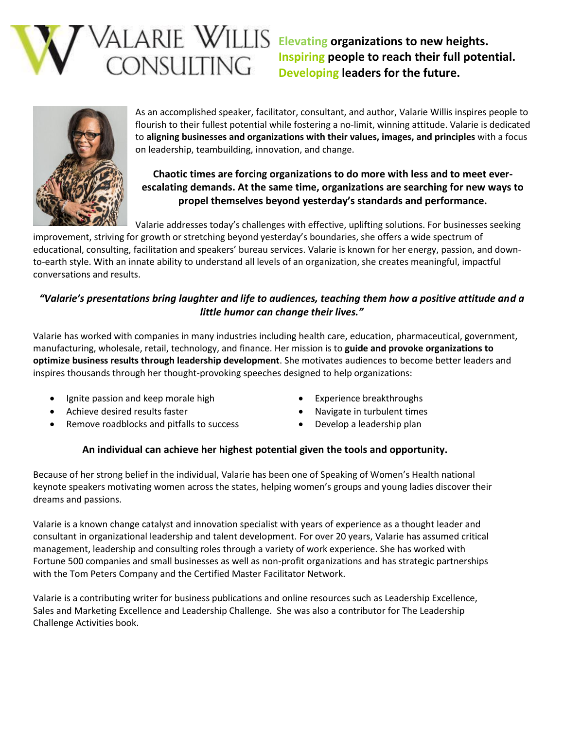

**Elevating organizations to new heights. Inspiring people to reach their full potential. Developing leaders for the future.**



As an accomplished speaker, facilitator, consultant, and author, Valarie Willis inspires people to flourish to their fullest potential while fostering a no-limit, winning attitude. Valarie is dedicated to **aligning businesses and organizations with their values, images, and principles** with a focus on leadership, teambuilding, innovation, and change.

# **Chaotic times are forcing organizations to do more with less and to meet everescalating demands. At the same time, organizations are searching for new ways to propel themselves beyond yesterday's standards and performance.**

Valarie addresses today's challenges with effective, uplifting solutions. For businesses seeking

improvement, striving for growth or stretching beyond yesterday's boundaries, she offers a wide spectrum of educational, consulting, facilitation and speakers' bureau services. Valarie is known for her energy, passion, and downto-earth style. With an innate ability to understand all levels of an organization, she creates meaningful, impactful conversations and results.

## *"Valarie's presentations bring laughter and life to audiences, teaching them how a positive attitude and a little humor can change their lives."*

Valarie has worked with companies in many industries including health care, education, pharmaceutical, government, manufacturing, wholesale, retail, technology, and finance. Her mission is to **guide and provoke organizations to optimize business results through leadership development**. She motivates audiences to become better leaders and inspires thousands through her thought-provoking speeches designed to help organizations:

- Ignite passion and keep morale high
- Achieve desired results faster
- Remove roadblocks and pitfalls to success
- Experience breakthroughs
- Navigate in turbulent times
- Develop a leadership plan

## **An individual can achieve her highest potential given the tools and opportunity.**

Because of her strong belief in the individual, Valarie has been one of Speaking of Women's Health national keynote speakers motivating women across the states, helping women's groups and young ladies discover their dreams and passions.

Valarie is a known change catalyst and innovation specialist with years of experience as a thought leader and consultant in organizational leadership and talent development. For over 20 years, Valarie has assumed critical management, leadership and consulting roles through a variety of work experience. She has worked with Fortune 500 companies and small businesses as well as non-profit organizations and has strategic partnerships with the Tom Peters Company and the Certified Master Facilitator Network.

Valarie is a contributing writer for business publications and online resources such as Leadership Excellence, Sales and Marketing Excellence and Leadership Challenge. She was also a contributor for The Leadership Challenge Activities book.